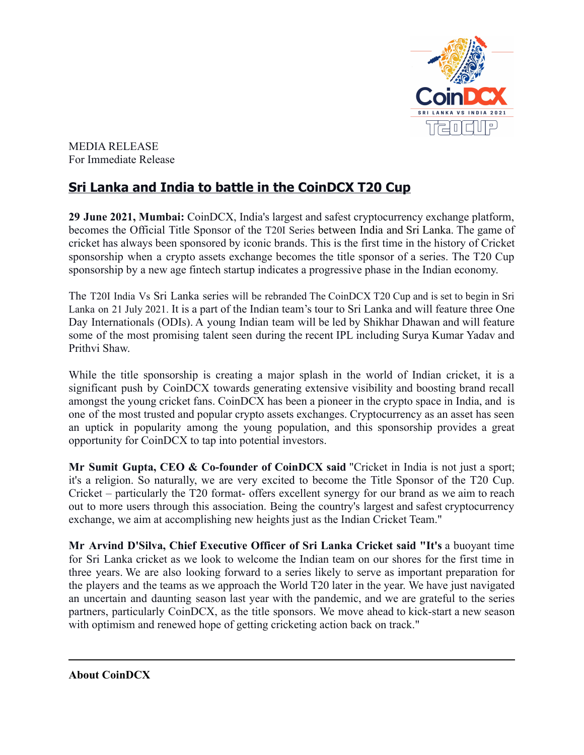

MEDIA RELEASE For Immediate Release

## **Sri Lanka and India to battle in the CoinDCX T20 Cup**

**29 June 2021, Mumbai:** CoinDCX, India's largest and safest cryptocurrency exchange platform, becomes the Official Title Sponsor of the T20I Series between India and Sri Lanka. The game of cricket has always been sponsored by iconic brands. This is the first time in the history of Cricket sponsorship when a crypto assets exchange becomes the title sponsor of a series. The T20 Cup sponsorship by a new age fintech startup indicates a progressive phase in the Indian economy.

The T20I India Vs Sri Lanka series will be rebranded The CoinDCX T20 Cup and is set to begin in Sri Lanka on 21 July 2021. It is a part of the Indian team's tour to Sri Lanka and will feature three One Day Internationals (ODIs). A young Indian team will be led by Shikhar Dhawan and will feature some of the most promising talent seen during the recent IPL including Surya Kumar Yadav and Prithvi Shaw.

While the title sponsorship is creating a major splash in the world of Indian cricket, it is a significant push by CoinDCX towards generating extensive visibility and boosting brand recall amongst the young cricket fans. CoinDCX has been a pioneer in the crypto space in India, and is one of the most trusted and popular crypto assets exchanges. Cryptocurrency as an asset has seen an uptick in popularity among the young population, and this sponsorship provides a great opportunity for CoinDCX to tap into potential investors.

**Mr Sumit Gupta, CEO & Co-founder of CoinDCX said** "Cricket in India is not just a sport; it's a religion. So naturally, we are very excited to become the Title Sponsor of the T20 Cup. Cricket – particularly the T20 format- offers excellent synergy for our brand as we aim to reach out to more users through this association. Being the country's largest and safest cryptocurrency exchange, we aim at accomplishing new heights just as the Indian Cricket Team."

**Mr Arvind D'Silva, Chief Executive Officer of Sri Lanka Cricket said "It's** a buoyant time for Sri Lanka cricket as we look to welcome the Indian team on our shores for the first time in three years. We are also looking forward to a series likely to serve as important preparation for the players and the teams as we approach the World T20 later in the year. We have just navigated an uncertain and daunting season last year with the pandemic, and we are grateful to the series partners, particularly CoinDCX, as the title sponsors. We move ahead to kick-start a new season with optimism and renewed hope of getting cricketing action back on track."